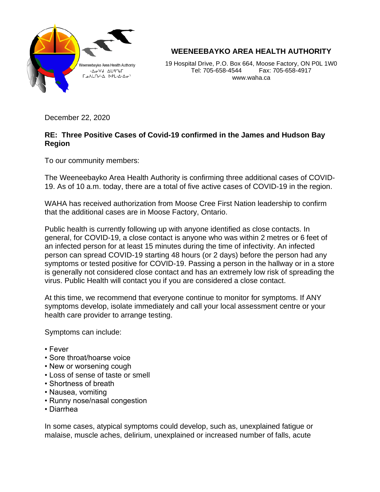

## **WEENEEBAYKO AREA HEALTH AUTHORITY**

19 Hospital Drive, P.O. Box 664, Moose Factory, ON P0L 1W0 Tel: 705-658-4544 Fax: 705-658-4917 www.waha.ca

December 22, 2020

## **RE: Three Positive Cases of Covid-19 confirmed in the James and Hudson Bay Region**

To our community members:

The Weeneebayko Area Health Authority is confirming three additional cases of COVID-19. As of 10 a.m. today, there are a total of five active cases of COVID-19 in the region.

WAHA has received authorization from Moose Cree First Nation leadership to confirm that the additional cases are in Moose Factory, Ontario.

Public health is currently following up with anyone identified as close contacts. In general, for COVID-19, a close contact is anyone who was within 2 metres or 6 feet of an infected person for at least 15 minutes during the time of infectivity. An infected person can spread COVID-19 starting 48 hours (or 2 days) before the person had any symptoms or tested positive for COVID-19. Passing a person in the hallway or in a store is generally not considered close contact and has an extremely low risk of spreading the virus. Public Health will contact you if you are considered a close contact.

At this time, we recommend that everyone continue to monitor for symptoms. If ANY symptoms develop, isolate immediately and call your local assessment centre or your health care provider to arrange testing.

Symptoms can include:

- Fever
- Sore throat/hoarse voice
- New or worsening cough
- Loss of sense of taste or smell
- Shortness of breath
- Nausea, vomiting
- Runny nose/nasal congestion
- Diarrhea

In some cases, atypical symptoms could develop, such as, unexplained fatigue or malaise, muscle aches, delirium, unexplained or increased number of falls, acute